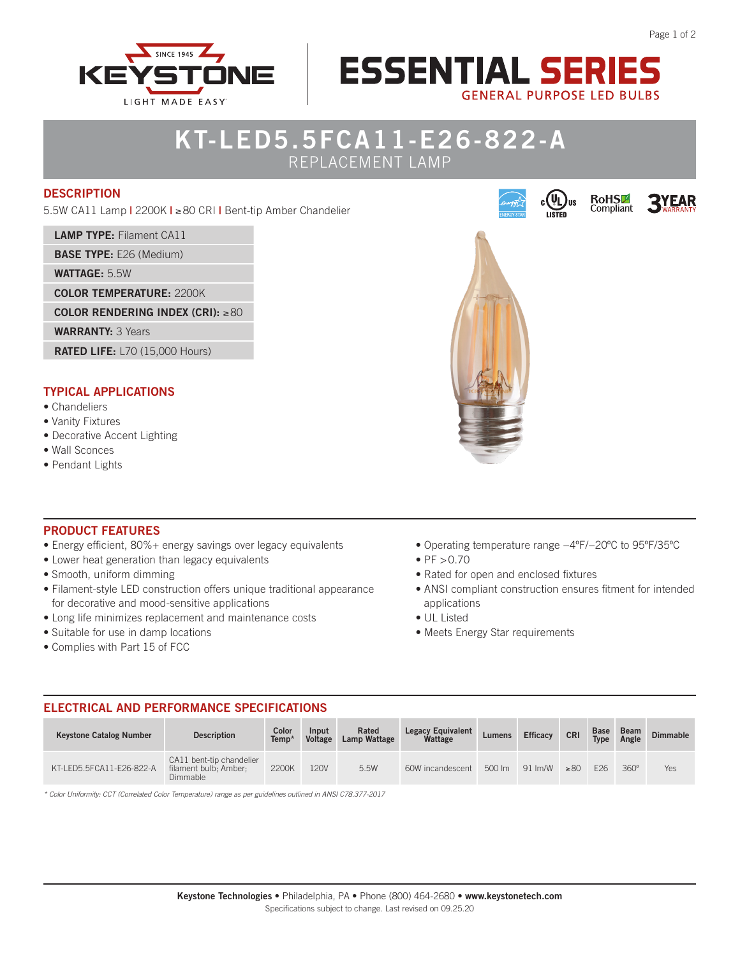

# **KT-LED5.5FCA11-E26-822-A**

REPLACEMENT LAMP

#### **DESCRIPTION**

5.5W CA11 Lamp **|** 2200K **|** ≥ 80 CRI **|** Bent-tip Amber Chandelier

**LAMP TYPE:** Filament CA11

**BASE TYPE:** E26 (Medium)

**WATTAGE:** 5.5W

**COLOR TEMPERATURE:** 2200K

**COLOR RENDERING INDEX (CRI):** ≥80

**WARRANTY:** 3 Years

**RATED LIFE:** L70 (15,000 Hours)

#### **TYPICAL APPLICATIONS**

- Chandeliers
- Vanity Fixtures
- Decorative Accent Lighting
- Wall Sconces
- Pendant Lights



**ESSENTIAL SERIE!** 

**GENERAL PURPOSE LED BULBS** 

c ( YL

RoHS<sup>1</sup><br>Compliant

#### **PRODUCT FEATURES**

- Energy efficient, 80%+ energy savings over legacy equivalents
- Lower heat generation than legacy equivalents
- Smooth, uniform dimming
- Filament-style LED construction offers unique traditional appearance for decorative and mood-sensitive applications
- Long life minimizes replacement and maintenance costs
- Suitable for use in damp locations
- Complies with Part 15 of FCC
- Operating temperature range −4ºF/−20ºC to 95ºF/35ºC
- $PF > 0.70$
- Rated for open and enclosed fixtures
- ANSI compliant construction ensures fitment for intended applications
- UL Listed
- Meets Energy Star requirements

#### **ELECTRICAL AND PERFORMANCE SPECIFICATIONS**

| <b>Keystone Catalog Number</b> | <b>Description</b>                                            | Color<br>Temp <sup>*</sup> | Input<br><b>Voltage</b> | Rated<br>Lamp Wattage | <b>Legacy Equivalent</b><br>Wattage | Lumens | <b>Efficacy</b>   | <b>CRI</b> | <b>Base</b><br><b>Type</b> | <b>Beam</b><br>Angle | <b>Dimmable</b> |
|--------------------------------|---------------------------------------------------------------|----------------------------|-------------------------|-----------------------|-------------------------------------|--------|-------------------|------------|----------------------------|----------------------|-----------------|
| KT-LED5.5FCA11-E26-822-A       | CA11 bent-tip chandelier<br>filament bulb; Amber:<br>Dimmable | 2200K                      | 120V                    | 5.5W                  | 60W incandescent                    | 500 lm | $91 \text{ Im/W}$ | >80        | F <sub>26</sub>            | $360^\circ$          | Yes             |

*\* Color Uniformity: CCT (Correlated Color Temperature) range as per guidelines outlined in ANSI C78.377-2017*